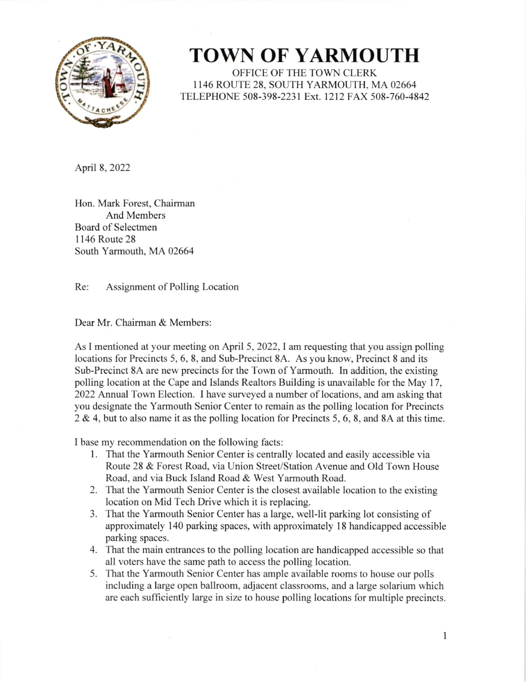

## TOWN OF YARMOUTH

OFFICE OF THE TOWN CLERK I I46 ROUTE 28. SOUTH YARMOUTH. MA02664 TELEPHONE 508-398-2231 Ext. 1212 FAX 508-760-4842

April 8, 2022

Hon. Mark Forest, Chairman And Members Board of Selectmen I 146 Route 28 South Yarmouth. MA 02664

Re: Assignment of Polling Location

Dear Mr. Chairman & Members:

As I mentioned at your meeting on April 5. 2022, I am requesting that you assign polling locations for Precincts 5, 6, 8, and Sub-Precinct 8A. As you know. Precinct 8 and its Sub-Precinct 8A are new precincts for the Town of Yarmouth. In addition, the existing polling location at the Cape and Islands Realtors Building is unavailable for the May 17. 2022 Annual Town Election. I have surveyed a number of locations. and am asking that you designate the Yarmouth Senior Center to remain as the polling location for Precincts 2 & 4,but to also name it as the polling location for Precincts 5, 6, 8, and 8A at this time.

I base my recommendation on the following facts:

- <sup>1</sup>. That the Yarmouth Senior Center is centrally located and easily accessible via Route 28 & Forest Road, via Union Street/Station Avenue and Old Town House Road, and via Buck Island Road & West Yarmouth Road.
- 2. That the Yarmouth Senior Center is the closest available location to the existing location on Mid Tech Drive which it is replacing.
- 3. That the Yarmouth Senior Center has a large, well-lit parking lot consisting of approximately 140 parking spaces, with approximately l8 handicapped accessible parking spaces.
- 4. That the main entrances to the polling location are handicapped accessible so that all voters have the same path to access the polling location.
- 5. That the Yarmouth Senior Center has ample available rooms to house our polls including a large open ballroom, adjacent classrooms, and a large solarium which are each sufficiently large in size to house polling locations for multiple precincts.

I